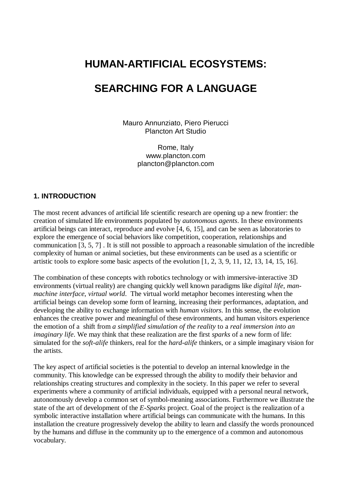# **HUMAN-ARTIFICIAL ECOSYSTEMS:**

# **SEARCHING FOR A LANGUAGE**

Mauro Annunziato, Piero Pierucci Plancton Art Studio

> Rome, Italy www.plancton.com plancton@plancton.com

#### **1. INTRODUCTION**

The most recent advances of artificial life scientific research are opening up a new frontier: the creation of simulated life environments populated by *autonomous agents*. In these environments artificial beings can interact, reproduce and evolve [4, 6, 15], and can be seen as laboratories to explore the emergence of social behaviors like competition, cooperation, relationships and communication [3, 5, 7] . It is still not possible to approach a reasonable simulation of the incredible complexity of human or animal societies, but these environments can be used as a scientific or artistic tools to explore some basic aspects of the evolution [1, 2, 3, 9, 11, 12, 13, 14, 15, 16].

The combination of these concepts with robotics technology or with immersive-interactive 3D environments (virtual reality) are changing quickly well known paradigms like *digital life*, *manmachine interface*, *virtual world*. The virtual world metaphor becomes interesting when the artificial beings can develop some form of learning, increasing their performances, adaptation, and developing the ability to exchange information with *human visitors*. In this sense, the evolution enhances the creative power and meaningful of these environments, and human visitors experience the emotion of a shift from *a simplified simulation of the reality* to a *real immersion into an imaginary life*. We may think that these realization are the first *sparks* of a new form of life: simulated for the *soft-alife* thinkers, real for the *hard-alife* thinkers, or a simple imaginary vision for the artists.

The key aspect of artificial societies is the potential to develop an internal knowledge in the community. This knowledge can be expressed through the ability to modify their behavior and relationships creating structures and complexity in the society. In this paper we refer to several experiments where a community of artificial individuals, equipped with a personal neural network, autonomously develop a common set of symbol-meaning associations. Furthermore we illustrate the state of the art of development of the *E-Sparks* project. Goal of the project is the realization of a symbolic interactive installation where artificial beings can communicate with the humans. In this installation the creature progressively develop the ability to learn and classify the words pronounced by the humans and diffuse in the community up to the emergence of a common and autonomous vocabulary.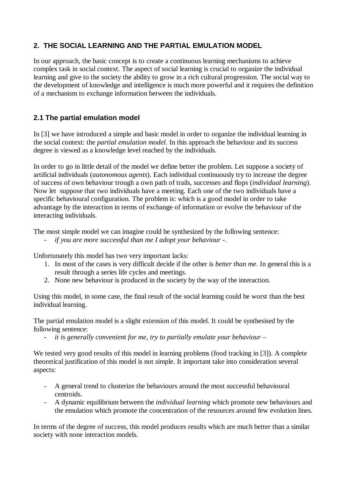# **2. THE SOCIAL LEARNING AND THE PARTIAL EMULATION MODEL**

In our approach, the basic concept is to create a continuous learning mechanisms to achieve complex task in social context. The aspect of social learning is crucial to organize the individual learning and give to the society the ability to grow in a rich cultural progression. The social way to the development of knowledge and intelligence is much more powerful and it requires the definition of a mechanism to exchange information between the individuals.

## **2.1 The partial emulation model**

In [3] we have introduced a simple and basic model in order to organize the individual learning in the social context: the *partial emulation model*. In this approach the behaviour and its success degree is viewed as a knowledge level reached by the individuals.

In order to go in little detail of the model we define better the problem. Let suppose a society of artificial individuals (*autonomous agents*). Each individual continuously try to increase the degree of success of own behaviour trough a own path of trails, successes and flops (*individual learning*). Now let suppose that two individuals have a meeting. Each one of the two individuals have a specific behavioural configuration. The problem is: which is a good model in order to take advantage by the interaction in terms of exchange of information or evolve the behaviour of the interacting individuals.

The most simple model we can imagine could be synthesized by the following sentence:

- *if you are more successful than me I adopt your behaviour -*.

Unfortunately this model has two very important lacks:

- 1. In most of the cases is very difficult decide if the other is *better than me*. In general this is a result through a series life cycles and meetings.
- 2. None new behaviour is produced in the society by the way of the interaction.

Using this model, in some case, the final result of the social learning could be worst than the best individual learning.

The partial emulation model is a slight extension of this model. It could be synthesised by the following sentence:

- *it is generally convenient for me, try to partially emulate your behaviour –*

We tested very good results of this model in learning problems (food tracking in [3]). A complete theoretical justification of this model is not simple. It important take into consideration several aspects:

- A general trend to clusterize the behaviours around the most successful behavioural centroids.
- A dynamic equilibrium between the *individual learning* which promote new behaviours and the emulation which promote the concentration of the resources around few evolution lines.

In terms of the degree of success, this model produces results which are much better than a similar society with none interaction models.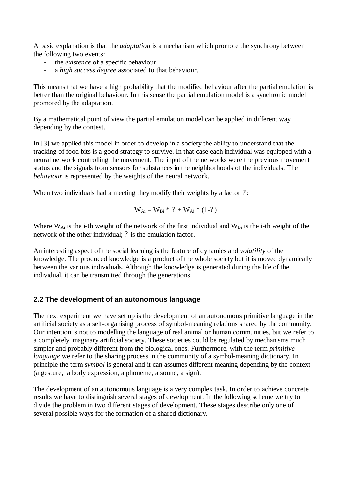A basic explanation is that the *adaptation* is a mechanism which promote the synchrony between the following two events:

- the *existence* of a specific behaviour
- a *high success degree* associated to that behaviour.

This means that we have a high probability that the modified behaviour after the partial emulation is better than the original behaviour. In this sense the partial emulation model is a synchronic model promoted by the adaptation.

By a mathematical point of view the partial emulation model can be applied in different way depending by the contest.

In [3] we applied this model in order to develop in a society the ability to understand that the tracking of food bits is a good strategy to survive. In that case each individual was equipped with a neural network controlling the movement. The input of the networks were the previous movement status and the signals from sensors for substances in the neighborhoods of the individuals. The *behaviour* is represented by the weights of the neural network.

When two individuals had a meeting they modify their weights by a factor ?:

$$
W_{Ai} = W_{Bi} * ? + W_{Ai} * (1-?)
$$

Where  $W_{Ai}$  is the i-th weight of the network of the first individual and  $W_{Bi}$  is the i-th weight of the network of the other individual; ? is the emulation factor.

An interesting aspect of the social learning is the feature of dynamics and *volatility* of the knowledge. The produced knowledge is a product of the whole society but it is moved dynamically between the various individuals. Although the knowledge is generated during the life of the individual, it can be transmitted through the generations.

#### **2.2 The development of an autonomous language**

The next experiment we have set up is the development of an autonomous primitive language in the artificial society as a self-organising process of symbol-meaning relations shared by the community. Our intention is not to modelling the language of real animal or human communities, but we refer to a completely imaginary artificial society. These societies could be regulated by mechanisms much simpler and probably different from the biological ones. Furthermore, with the term *primitive language* we refer to the sharing process in the community of a symbol-meaning dictionary. In principle the term *symbol* is general and it can assumes different meaning depending by the context (a gesture, a body expression, a phoneme, a sound, a sign).

The development of an autonomous language is a very complex task. In order to achieve concrete results we have to distinguish several stages of development. In the following scheme we try to divide the problem in two different stages of development. These stages describe only one of several possible ways for the formation of a shared dictionary.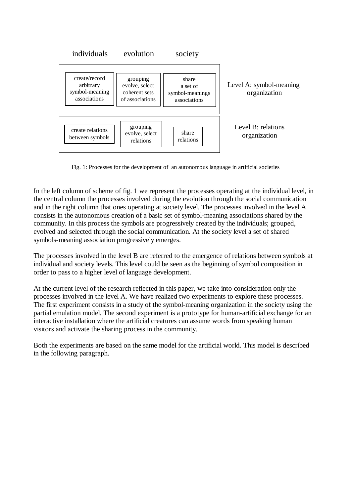

Fig. 1: Processes for the development of an autonomous language in artificial societies

In the left column of scheme of fig. 1 we represent the processes operating at the individual level, in the central column the processes involved during the evolution through the social communication and in the right column that ones operating at society level. The processes involved in the level A consists in the autonomous creation of a basic set of symbol-meaning associations shared by the community. In this process the symbols are progressively created by the individuals; grouped, evolved and selected through the social communication. At the society level a set of shared symbols-meaning association progressively emerges.

The processes involved in the level B are referred to the emergence of relations between symbols at individual and society levels. This level could be seen as the beginning of symbol composition in order to pass to a higher level of language development.

At the current level of the research reflected in this paper, we take into consideration only the processes involved in the level A. We have realized two experiments to explore these processes. The first experiment consists in a study of the symbol-meaning organization in the society using the partial emulation model. The second experiment is a prototype for human-artificial exchange for an interactive installation where the artificial creatures can assume words from speaking human visitors and activate the sharing process in the community.

Both the experiments are based on the same model for the artificial world. This model is described in the following paragraph.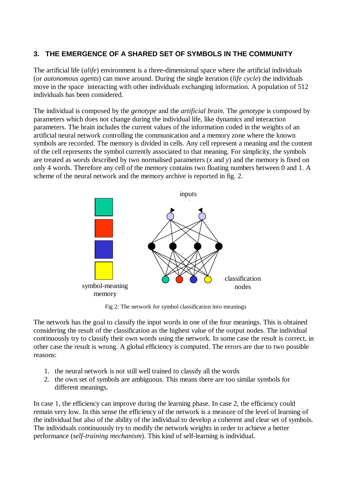## **3. THE EMERGENCE OF A SHARED SET OF SYMBOLS IN THE COMMUNITY**

The artificial life (*alife*) environment is a three-dimensional space where the artificial individuals (or *autonomous agents*) can move around. During the single iteration (*life cycle*) the individuals move in the space interacting with other individuals exchanging information. A population of 512 individuals has been considered.

The individual is composed by the *genotype* and the *artificial brain.* The *genotype* is composed by parameters which does not change during the individual life, like dynamics and interaction parameters. The brain includes the current values of the information coded in the weights of an artificial neural network controlling the communication and a memory zone where the known symbols are recorded. The memory is divided in cells. Any cell represent a meaning and the content of the cell represents the symbol currently associated to that meaning. For simplicity, the symbols are treated as *words* described by two normalised parameters (*x* and *y*) and the memory is fixed on only 4 words. Therefore any cell of the memory contains two floating numbers between 0 and 1. A scheme of the neural network and the memory archive is reported in fig. 2.



Fig 2: The network for symbol classification into meanings

The network has the goal to classify the input words in one of the four meanings. This is obtained considering the result of the classification as the highest value of the output nodes. The individual continuously try to classify their own words using the network. In some case the result is correct, in other case the result is wrong. A global efficiency is computed. The errors are due to two possible reasons:

- 1. the neural network is not still well trained to classify all the words
- 2. the own set of symbols are ambiguous. This means there are too similar symbols for different meanings.

In case 1, the efficiency can improve during the learning phase. In case 2, the efficiency could remain very low. In this sense the efficiency of the network is a measure of the level of learning of the individual but also of the ability of the individual to develop a coherent and clear set of symbols. The individuals continuously try to modify the network weights in order to achieve a better performance (*self-training mechanism*). This kind of self-learning is individual.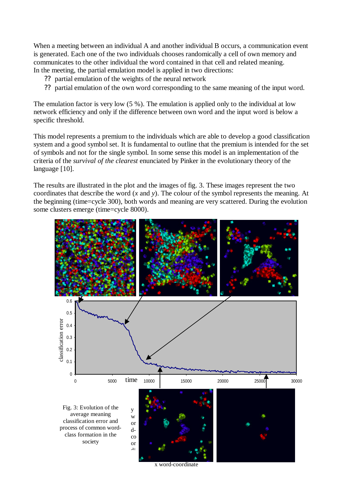When a meeting between an individual A and another individual B occurs, a communication event is generated. Each one of the two individuals chooses randomically a cell of own memory and communicates to the other individual the word contained in that cell and related meaning. In the meeting, the partial emulation model is applied in two directions:

- ?? partial emulation of the weights of the neural network
- ?? partial emulation of the own word corresponding to the same meaning of the input word.

The emulation factor is very low (5 %). The emulation is applied only to the individual at low network efficiency and only if the difference between own word and the input word is below a specific threshold.

This model represents a premium to the individuals which are able to develop a good classification system and a good symbol set. It is fundamental to outline that the premium is intended for the set of symbols and not for the single symbol. In some sense this model is an implementation of the criteria of the *survival of the clearest* enunciated by Pinker in the evolutionary theory of the language [10].

The results are illustrated in the plot and the images of fig. 3. These images represent the two coordinates that describe the word (*x* and *y*). The colour of the symbol represents the meaning. At the beginning (time=cycle 300), both words and meaning are very scattered. During the evolution some clusters emerge (time=cycle 8000).



x word-coordinate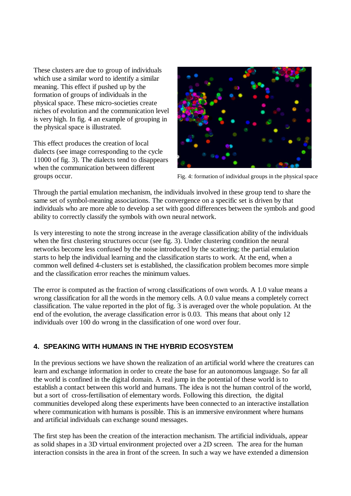These clusters are due to group of individuals which use a similar word to identify a similar meaning. This effect if pushed up by the formation of groups of individuals in the physical space. These micro-societies create niches of evolution and the communication level is very high. In fig. 4 an example of grouping in the physical space is illustrated.

This effect produces the creation of local dialects (see image corresponding to the cycle 11000 of fig. 3). The dialects tend to disappears when the communication between different groups occur. Fig. 4: formation of individual groups in the physical space



Through the partial emulation mechanism, the individuals involved in these group tend to share the same set of symbol-meaning associations. The convergence on a specific set is driven by that individuals who are more able to develop a set with good differences between the symbols and good ability to correctly classify the symbols with own neural network.

Is very interesting to note the strong increase in the average classification ability of the individuals when the first clustering structures occur (see fig. 3). Under clustering condition the neural networks become less confused by the noise introduced by the scattering; the partial emulation starts to help the individual learning and the classification starts to work. At the end, when a common well defined 4-clusters set is established, the classification problem becomes more simple and the classification error reaches the minimum values.

The error is computed as the fraction of wrong classifications of own words. A 1.0 value means a wrong classification for all the words in the memory cells. A 0.0 value means a completely correct classification. The value reported in the plot of fig. 3 is averaged over the whole population. At the end of the evolution, the average classification error is 0.03. This means that about only 12 individuals over 100 do wrong in the classification of one word over four.

## **4. SPEAKING WITH HUMANS IN THE HYBRID ECOSYSTEM**

In the previous sections we have shown the realization of an artificial world where the creatures can learn and exchange information in order to create the base for an autonomous language. So far all the world is confined in the digital domain. A real jump in the potential of these world is to establish a contact between this world and humans. The idea is not the human control of the world, but a sort of cross-fertilisation of elementary words. Following this direction, the digital communities developed along these experiments have been connected to an interactive installation where communication with humans is possible. This is an immersive environment where humans and artificial individuals can exchange sound messages.

The first step has been the creation of the interaction mechanism. The artificial individuals, appear as solid shapes in a 3D virtual environment projected over a 2D screen. The area for the human interaction consists in the area in front of the screen. In such a way we have extended a dimension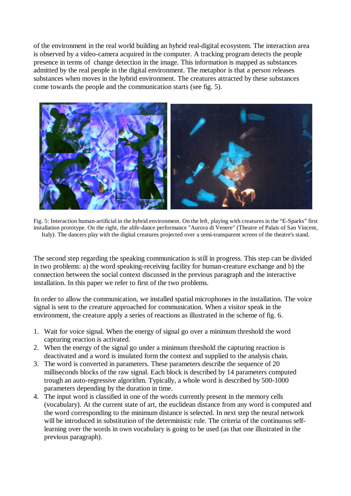of the environment in the real world building an hybrid real-digital ecosystem. The interaction area is observed by a video-camera acquired in the computer. A tracking program detects the people presence in terms of change detection in the image. This information is mapped as substances admitted by the real people in the digital environment. The metaphor is that a person releases substances when moves in the hybrid environment. The creatures attracted by these substances come towards the people and the communication starts (see fig. 5).



Fig. 5: Interaction human-artificial in the hybrid environment. On the left, playing with creatures in the "E-Sparks" first installation prototype. On the right, the alife-dance performance "Aurora di Venere" (Theatre of Palais of San Vincent, Italy). The dancers play with the digital creatures projected over a semi-transparent screen of the theatre's stand.

The second step regarding the speaking communication is still in progress. This step can be divided in two problems: a) the word speaking-receiving facility for human-creature exchange and b) the connection between the social context discussed in the previous paragraph and the interactive installation. In this paper we refer to first of the two problems.

In order to allow the communication, we installed spatial microphones in the installation. The voice signal is sent to the creature approached for communication. When a visitor speak in the environment, the creature apply a series of reactions as illustrated in the scheme of fig. 6.

- 1. Wait for voice signal. When the energy of signal go over a minimum threshold the word capturing reaction is activated.
- 2. When the energy of the signal go under a minimum threshold the capturing reaction is deactivated and a word is insulated form the context and supplied to the analysis chain.
- 3. The word is converted in parameters. These parameters describe the sequence of 20 milliseconds blocks of the raw signal. Each block is described by 14 parameters computed trough an auto-regressive algorithm. Typically, a whole word is described by 500-1000 parameters depending by the duration in time.
- 4. The input word is classified in one of the words currently present in the memory cells (vocabulary). At the current state of art, the euclidean distance from any word is computed and the word corresponding to the minimum distance is selected. In next step the neural network will be introduced in substitution of the deterministic rule. The criteria of the continuous selflearning over the words in own vocabulary is going to be used (as that one illustrated in the previous paragraph).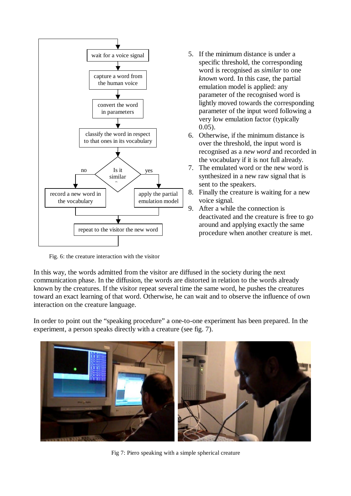

Fig. 6: the creature interaction with the visitor

- 5. If the minimum distance is under a specific threshold, the corresponding word is recognised as *similar* to one *known* word. In this case, the partial emulation model is applied: any parameter of the recognised word is lightly moved towards the corresponding parameter of the input word following a very low emulation factor (typically  $0.05$ ).
- 6. Otherwise, if the minimum distance is over the threshold, the input word is recognised as a *new word* and recorded in the vocabulary if it is not full already.
- 7. The emulated word or the new word is synthesized in a new raw signal that is sent to the speakers.
- 8. Finally the creature is waiting for a new voice signal.
- 9. After a while the connection is deactivated and the creature is free to go around and applying exactly the same procedure when another creature is met.

In this way, the words admitted from the visitor are diffused in the society during the next communication phase. In the diffusion, the words are distorted in relation to the words already known by the creatures. If the visitor repeat several time the same word, he pushes the creatures toward an exact learning of that word. Otherwise, he can wait and to observe the influence of own interaction on the creature language.

In order to point out the "speaking procedure"a one-to-one experiment has been prepared. In the experiment, a person speaks directly with a creature (see fig. 7).



Fig 7: Piero speaking with a simple spherical creature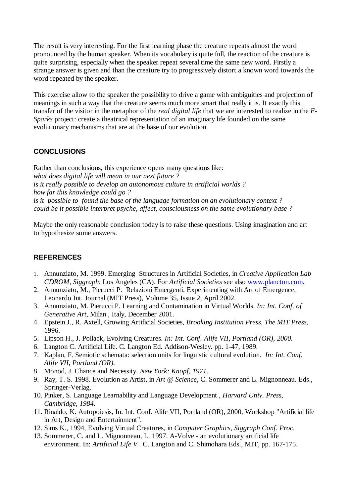The result is very interesting. For the first learning phase the creature repeats almost the word pronounced by the human speaker. When its vocabulary is quite full, the reaction of the creature is quite surprising, especially when the speaker repeat several time the same new word. Firstly a strange answer is given and than the creature try to progressively distort a known word towards the word repeated by the speaker.

This exercise allow to the speaker the possibility to drive a game with ambiguities and projection of meanings in such a way that the creature seems much more smart that really it is. It exactly this transfer of the visitor in the metaphor of the *real digital life* that we are interested to realize in the *E-Sparks* project: create a theatrical representation of an imaginary life founded on the same evolutionary mechanisms that are at the base of our evolution.

## **CONCLUSIONS**

Rather than conclusions, this experience opens many questions like: *what does digital life will mean in our next future ? is it really possible to develop an autonomous culture in artificial worlds ? how far this knowledge could go ? is it possible to found the base of the language formation on an evolutionary context ? could be it possible interpret psyche, affect, consciousness on the same evolutionary base ?*

Maybe the only reasonable conclusion today is to raise these questions. Using imagination and art to hypothesize some answers.

## **REFERENCES**

- 1. Annunziato, M. 1999. Emerging Structures in Artificial Societies, in *Creative Application Lab CDROM, Siggraph*, Los Angeles (CA). For *Artificial Societies* see also www.plancton.com.
- 2. Annunziato, M., Pierucci P. Relazioni Emergenti. Experimenting with Art of Emergence, Leonardo Int. Journal (MIT Press), Volume 35, Issue 2, April 2002.
- 3. Annunziato, M. Pierucci P. Learning and Contamination in Virtual Worlds. *In: Int. Conf. of Generative Art,* Milan , Italy, December 2001.
- 4. Epstein J., R. Axtell, Growing Artificial Societies*, Brooking Institution Press, The MIT Press,*  1996.
- 5. Lipson H., J. Pollack, Evolving Creatures. *In: Int. Conf. Alife VII, Portland (OR), 2000.*
- 6. Langton C. Artificial Life. C. Langton Ed. Addison-Wesley. pp. 1-47, 1989.
- 7. Kaplan, F. Semiotic schemata: selection units for linguistic cultural evolution. *In: Int. Conf. Alife VII, Portland (OR).*
- 8. Monod, J. Chance and Necessity. *New York: Knopf, 1971*.
- 9. Ray, T. S. 1998. Evolution as Artist, in *Art @ Science*, C. Sommerer and L. Mignonneau. Eds., Springer-Verlag.
- 10. Pinker, S. Language Learnability and Language Development , *Harvard Univ. Press, Cambridge, 1984*.
- 11. Rinaldo, K. Autopoiesis, In: Int. Conf. Alife VII, Portland (OR), 2000, Workshop "Artificial life in Art, Design and Entertainment".
- 12. Sims K., 1994, Evolving Virtual Creatures, in *Computer Graphics, Siggraph Conf. Proc.*
- 13. Sommerer, C. and L. Mignonneau, L. 1997. A-Volve an evolutionary artificial life environment. In: *Artificial Life V* . C. Langton and C. Shimohara Eds., MIT, pp. 167-175.